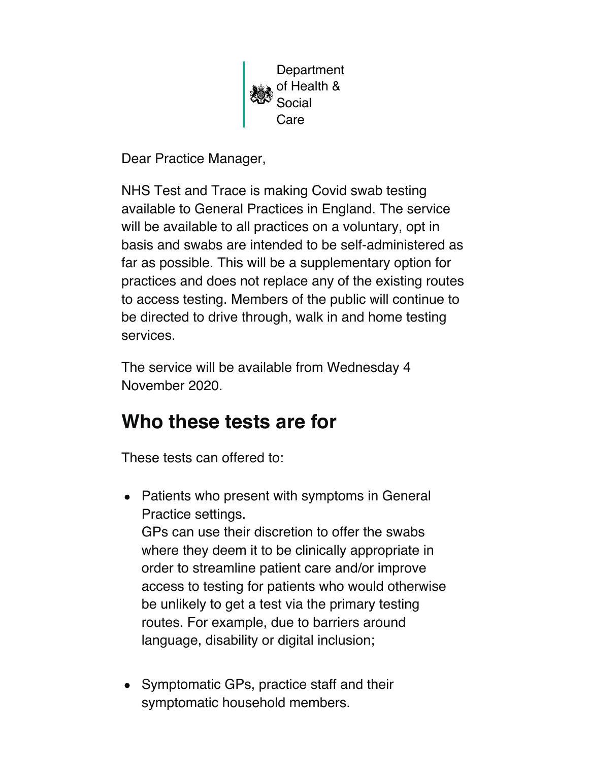

Dear Practice Manager,

NHS Test and Trace is making Covid swab testing available to General Practices in England. The service will be available to all practices on a voluntary, opt in basis and swabs are intended to be self-administered as far as possible. This will be a supplementary option for practices and does not replace any of the existing routes to access testing. Members of the public will continue to be directed to drive through, walk in and home testing services.

The service will be available from Wednesday 4 November 2020.

# **Who these tests are for**

These tests can offered to:

- Patients who present with symptoms in General Practice settings. GPs can use their discretion to offer the swabs where they deem it to be clinically appropriate in order to streamline patient care and/or improve access to testing for patients who would otherwise be unlikely to get a test via the primary testing routes. For example, due to barriers around language, disability or digital inclusion;
- Symptomatic GPs, practice staff and their symptomatic household members.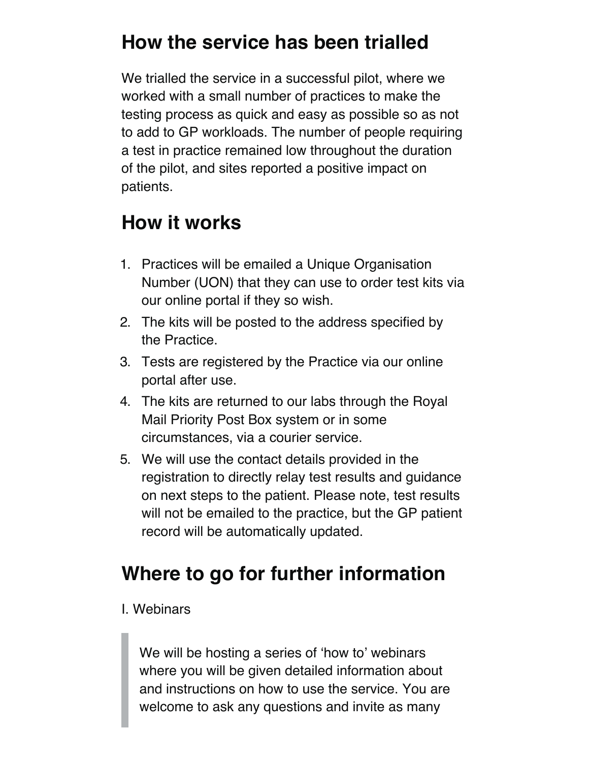#### **How the service has been trialled**

We trialled the service in a successful pilot, where we worked with a small number of practices to make the testing process as quick and easy as possible so as not to add to GP workloads. The number of people requiring a test in practice remained low throughout the duration of the pilot, and sites reported a positive impact on patients.

#### **How it works**

- 1. Practices will be emailed a Unique Organisation Number (UON) that they can use to order test kits via our online portal if they so wish.
- 2. The kits will be posted to the address specified by the Practice.
- 3. Tests are registered by the Practice via our online portal after use.
- 4. The kits are returned to our labs through the Royal Mail Priority Post Box system or in some circumstances, via a courier service.
- 5. We will use the contact details provided in the registration to directly relay test results and guidance on next steps to the patient. Please note, test results will not be emailed to the practice, but the GP patient record will be automatically updated.

# **Where to go for further information**

#### I. Webinars

We will be hosting a series of 'how to' webinars where you will be given detailed information about and instructions on how to use the service. You are welcome to ask any questions and invite as many